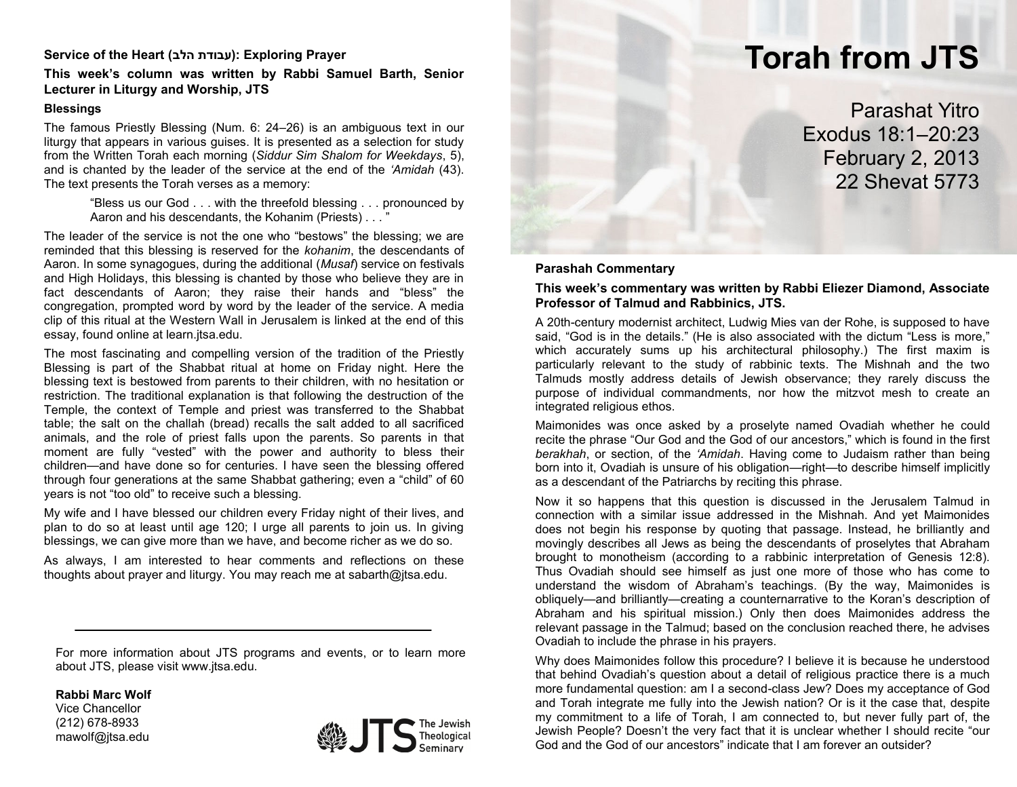# **Service of the Heart (הלב עבודת(: Exploring Prayer**

# **This week's column was written by Rabbi Samuel Barth, Senior Lecturer in Liturgy and Worship, JTS**

#### **Blessings**

The famous Priestly Blessing (Num. 6: 24–26) is an ambiguous text in our liturgy that appears in various guises. It is presented as a selection for study from the Written Torah each morning (*Siddur Sim Shalom for Weekdays*, 5), and is chanted by the leader of the service at the end of the *'Amidah* (43). The text presents the Torah verses as a memory:

> "Bless us our God . . . with the threefold blessing . . . pronounced by Aaron and his descendants, the Kohanim (Priests) . . . "

The leader of the service is not the one who "bestows" the blessing; we are reminded that this blessing is reserved for the *kohanim*, the descendants of Aaron. In some synagogues, during the additional (*Musaf*) service on festivals and High Holidays, this blessing is chanted by those who believe they are in fact descendants of Aaron; they raise their hands and "bless" the congregation, prompted word by word by the leader of the service. A media clip of this ritual at the Western Wall in Jerusalem is linked at the end of this essay, found online at learn.jtsa.edu.

The most fascinating and compelling version of the tradition of the Priestly Blessing is part of the Shabbat ritual at home on Friday night. Here the blessing text is bestowed from parents to their children, with no hesitation or restriction. The traditional explanation is that following the destruction of the Temple, the context of Temple and priest was transferred to the Shabbat table; the salt on the challah (bread) recalls the salt added to all sacrificed animals, and the role of priest falls upon the parents. So parents in that moment are fully "vested" with the power and authority to bless their children—and have done so for centuries. I have seen the blessing offered through four generations at the same Shabbat gathering; even a "child" of 60 years is not "too old" to receive such a blessing.

My wife and I have blessed our children every Friday night of their lives, and plan to do so at least until age 120; I urge all parents to join us. In giving blessings, we can give more than we have, and become richer as we do so.

As always, I am interested to hear comments and reflections on these thoughts about prayer and liturgy. You may reach me at sabarth@jtsa.edu.

For more information about JTS programs and events, or to learn more about JTS, please visit www.jtsa.edu.

**Rabbi Marc Wolf**

Vice Chancellor (212) 678-8933 mawolf@jtsa.edu



# **Torah from JTS** Parashat Yitro Exodus 18:1–20:23

February 2, 2013 22 Shevat 5773

#### **Parashah Commentary**

### **This week's commentary was written by Rabbi Eliezer Diamond, Associate Professor of Talmud and Rabbinics, JTS.**

A 20th-century modernist architect, Ludwig Mies van der Rohe, is supposed to have said, "God is in the details." (He is also associated with the dictum "Less is more," which accurately sums up his architectural philosophy.) The first maxim is particularly relevant to the study of rabbinic texts. The Mishnah and the two Talmuds mostly address details of Jewish observance; they rarely discuss the purpose of individual commandments, nor how the mitzvot mesh to create an integrated religious ethos.

Maimonides was once asked by a proselyte named Ovadiah whether he could recite the phrase "Our God and the God of our ancestors," which is found in the first *berakhah*, or section, of the *'Amidah*. Having come to Judaism rather than being born into it, Ovadiah is unsure of his obligation—right—to describe himself implicitly as a descendant of the Patriarchs by reciting this phrase.

Now it so happens that this question is discussed in the Jerusalem Talmud in connection with a similar issue addressed in the Mishnah. And yet Maimonides does not begin his response by quoting that passage. Instead, he brilliantly and movingly describes all Jews as being the descendants of proselytes that Abraham brought to monotheism (according to a rabbinic interpretation of Genesis 12:8). Thus Ovadiah should see himself as just one more of those who has come to understand the wisdom of Abraham's teachings. (By the way, Maimonides is obliquely—and brilliantly—creating a counternarrative to the Koran's description of Abraham and his spiritual mission.) Only then does Maimonides address the relevant passage in the Talmud; based on the conclusion reached there, he advises Ovadiah to include the phrase in his prayers.

Why does Maimonides follow this procedure? I believe it is because he understood that behind Ovadiah's question about a detail of religious practice there is a much more fundamental question: am I a second-class Jew? Does my acceptance of God and Torah integrate me fully into the Jewish nation? Or is it the case that, despite my commitment to a life of Torah, I am connected to, but never fully part of, the Jewish People? Doesn't the very fact that it is unclear whether I should recite "our God and the God of our ancestors" indicate that I am forever an outsider?